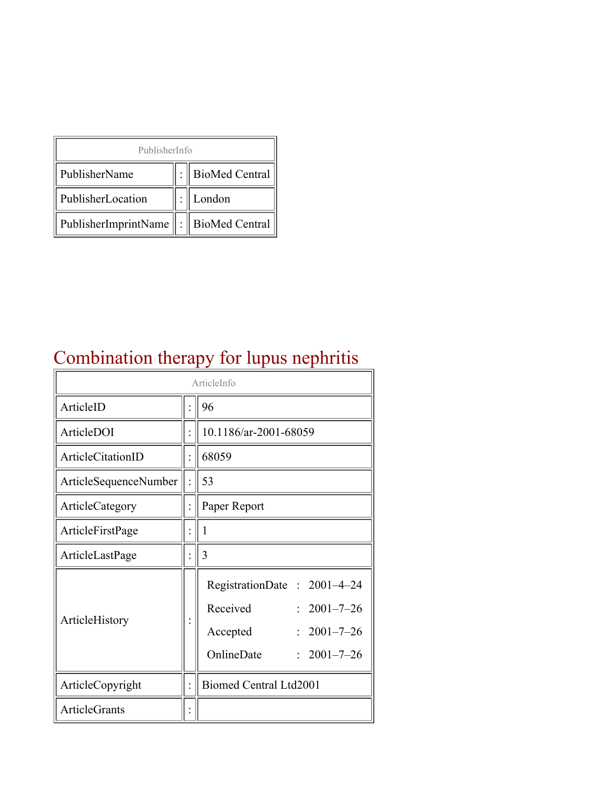| PublisherInfo                               |  |                    |  |  |
|---------------------------------------------|--|--------------------|--|--|
| PublisherName                               |  | :   BioMed Central |  |  |
| PublisherLocation                           |  | London             |  |  |
| PublisherImprintName    :    BioMed Central |  |                    |  |  |

## Combination therapy for lupus nephritis

| ArticleInfo           |  |                                                                                                                                        |  |
|-----------------------|--|----------------------------------------------------------------------------------------------------------------------------------------|--|
| ArticleID             |  | 96                                                                                                                                     |  |
| ArticleDOI            |  | 10.1186/ar-2001-68059                                                                                                                  |  |
| ArticleCitationID     |  | 68059                                                                                                                                  |  |
| ArticleSequenceNumber |  | 53                                                                                                                                     |  |
| ArticleCategory       |  | Paper Report                                                                                                                           |  |
| ArticleFirstPage      |  | 1                                                                                                                                      |  |
| ArticleLastPage       |  | 3                                                                                                                                      |  |
| ArticleHistory        |  | RegistrationDate: 2001-4-24<br>Received<br>$2001 - 7 - 26$<br>$2001 - 7 - 26$<br>Accepted<br>OnlineDate<br>$2001 - 7 - 26$<br>$\gamma$ |  |
| ArticleCopyright      |  | <b>Biomed Central Ltd2001</b>                                                                                                          |  |
| <b>ArticleGrants</b>  |  |                                                                                                                                        |  |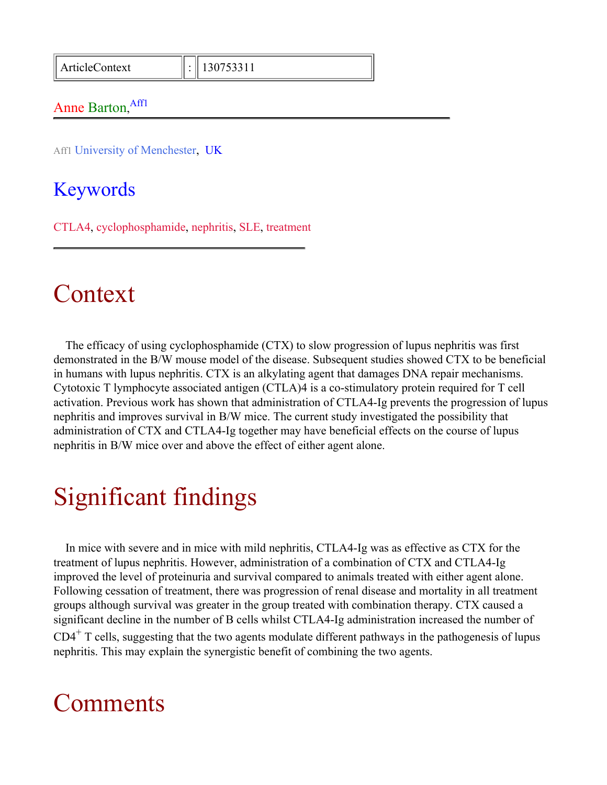ArticleContext : 130753311

#### Anne Barton, Aff1

Aff1 University of Menchester, UK

#### Keywords

CTLA4, cyclophosphamide, nephritis, SLE, treatment

#### Context

The efficacy of using cyclophosphamide (CTX) to slow progression of lupus nephritis was first demonstrated in the B/W mouse model of the disease. Subsequent studies showed CTX to be beneficial in humans with lupus nephritis. CTX is an alkylating agent that damages DNA repair mechanisms. Cytotoxic T lymphocyte associated antigen (CTLA)4 is a co-stimulatory protein required for T cell activation. Previous work has shown that administration of CTLA4-Ig prevents the progression of lupus nephritis and improves survival in B/W mice. The current study investigated the possibility that administration of CTX and CTLA4-Ig together may have beneficial effects on the course of lupus nephritis in B/W mice over and above the effect of either agent alone.

## Significant findings

In mice with severe and in mice with mild nephritis, CTLA4-Ig was as effective as CTX for the treatment of lupus nephritis. However, administration of a combination of CTX and CTLA4-Ig improved the level of proteinuria and survival compared to animals treated with either agent alone. Following cessation of treatment, there was progression of renal disease and mortality in all treatment groups although survival was greater in the group treated with combination therapy. CTX caused a significant decline in the number of B cells whilst CTLA4-Ig administration increased the number of  $CD4<sup>+</sup>$  T cells, suggesting that the two agents modulate different pathways in the pathogenesis of lupus nephritis. This may explain the synergistic benefit of combining the two agents.

#### Comments